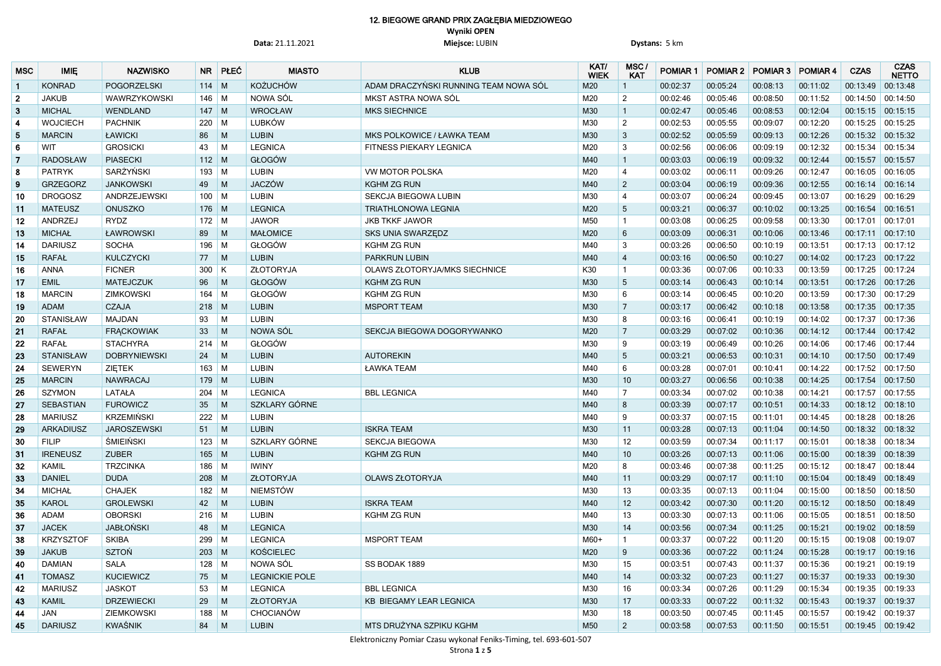## 12. BIEGOWE GRAND PRIX ZAGŁĘBIA MIEDZIOWEGO **Wyniki OPEN Data:** 21.11.2021 **Miejsce:** LUBIN **Dystans:** 5 km

| <b>MSC</b>      | <b>IMIE</b>      | <b>NAZWISKO</b>     | <b>NR</b> | <b>PLEC</b>             | <b>MIASTO</b>         | <b>KLUB</b>                           | KAT/<br><b>WIEK</b> | MSC<br><b>KAT</b> | <b>POMIAR 1</b> | POMIAR 2 | <b>POMIAR 3</b> | <b>POMIAR4</b> | <b>CZAS</b>         | <b>CZAS</b><br><b>NETTO</b> |
|-----------------|------------------|---------------------|-----------|-------------------------|-----------------------|---------------------------------------|---------------------|-------------------|-----------------|----------|-----------------|----------------|---------------------|-----------------------------|
| $\mathbf{1}$    | <b>KONRAD</b>    | POGORZELSKI         | 114       | $\mid M$                | <b>KOŻUCHÓW</b>       | ADAM DRACZYŃSKI RUNNING TEAM NOWA SÓL | M20                 |                   | 00:02:37        | 00:05:24 | 00:08:13        | 00:11:02       | 00:13:49            | 00:13:48                    |
| $\overline{2}$  | <b>JAKUB</b>     | WAWRZYKOWSKI        | $146$ M   |                         | NOWA SÓL              | MKST ASTRA NOWA SÓL                   | M20                 | $\overline{2}$    | 00:02:46        | 00:05:46 | 00:08:50        | 00:11:52       | 00:14:50            | 00:14:50                    |
| $\mathbf{3}$    | <b>MICHAL</b>    | WENDLAND            | $147$ M   |                         | <b>WROCŁAW</b>        | <b>MKS SIECHNICE</b>                  | M30                 |                   | 00:02:47        | 00:05:46 | 00:08:53        | 00:12:04       | 00:15:15 00:15:15   |                             |
| $\overline{4}$  | <b>WOJCIECH</b>  | <b>PACHNIK</b>      | 220       | M                       | <b>LUBKÓW</b>         |                                       | M30                 | $\overline{2}$    | 00:02:53        | 00:05:55 | 00:09:07        | 00:12:20       | 00:15:25            | 00:15:25                    |
| $5\phantom{.0}$ | <b>MARCIN</b>    | ŁAWICKI             | 86        | M                       | <b>LUBIN</b>          | MKS POLKOWICE / ŁAWKA TEAM            | M30                 | $\mathbf{3}$      | 00:02:52        | 00:05:59 | 00:09:13        | 00:12:26       | 00:15:32 00:15:32   |                             |
| 6               | WIT              | <b>GROSICKI</b>     | 43        | M                       | <b>LEGNICA</b>        | FITNESS PIEKARY LEGNICA               | M20                 | $\mathbf{3}$      | 00:02:56        | 00:06:06 | 00:09:19        | 00:12:32       | 00:15:34            | 00:15:34                    |
| 7               | <b>RADOSŁAW</b>  | <b>PIASECKI</b>     | $112$ M   |                         | GŁOGÓW                |                                       | M40                 |                   | 00:03:03        | 00:06:19 | 00:09:32        | 00:12:44       | 00:15:57 00:15:57   |                             |
| 8               | <b>PATRYK</b>    | SARŻYŃSKI           | 193       | M                       | <b>LUBIN</b>          | <b>VW MOTOR POLSKA</b>                | M20                 | $\overline{4}$    | 00:03:02        | 00:06:11 | 00:09:26        | 00:12:47       | 00:16:05            | 00:16:05                    |
| 9               | <b>GRZEGORZ</b>  | <b>JANKOWSKI</b>    | 49        | $\mid M$                | <b>JACZÓW</b>         | <b>KGHM ZG RUN</b>                    | M40                 | $\overline{2}$    | 00:03:04        | 00:06:19 | 00:09:36        | 00:12:55       | 00:16:14 00:16:14   |                             |
| 10              | <b>DROGOSZ</b>   | ANDRZEJEWSKI        | $100$ M   |                         | <b>LUBIN</b>          | SEKCJA BIEGOWA LUBIN                  | M30                 | 4                 | 00:03:07        | 00:06:24 | 00:09:45        | 00:13:07       | 00:16:29 00:16:29   |                             |
| 11              | <b>MATEUSZ</b>   | <b>ONUSZKO</b>      | $176$ M   |                         | <b>LEGNICA</b>        | <b>TRIATHLONOWA LEGNIA</b>            | M20                 | $5^{\circ}$       | 00:03:21        | 00:06:37 | 00:10:02        | 00:13:25       | 00:16:54            | 00:16:51                    |
| 12              | <b>ANDRZEJ</b>   | <b>RYDZ</b>         | $172$ M   |                         | <b>JAWOR</b>          | <b>JKB TKKF JAWOR</b>                 | M50                 | $\mathbf{1}$      | 00:03:08        | 00:06:25 | 00:09:58        | 00:13:30       | 00:17:01            | 00:17:01                    |
| 13              | <b>MICHAŁ</b>    | ŁAWROWSKI           | 89        | M                       | <b>MAŁOMICE</b>       | SKS UNIA SWARZĘDZ                     | M20                 | $6\phantom{1}$    | 00:03:09        | 00:06:31 | 00:10:06        | 00:13:46       | $00:17:11$ 00:17:10 |                             |
| 14              | <b>DARIUSZ</b>   | <b>SOCHA</b>        | 196       | M                       | GŁOGÓW                | <b>KGHM ZG RUN</b>                    | M40                 | $\mathbf{3}$      | 00:03:26        | 00:06:50 | 00:10:19        | 00:13:51       | 00:17:13 00:17:12   |                             |
| 15              | <b>RAFAŁ</b>     | <b>KULCZYCKI</b>    | 77        | M                       | <b>LUBIN</b>          | <b>PARKRUN LUBIN</b>                  | M40                 |                   | 00:03:16        | 00:06:50 | 00:10:27        | 00:14:02       | 00:17:23            | 00:17:22                    |
| 16              | <b>ANNA</b>      | <b>FICNER</b>       | 300       | $\overline{\mathsf{K}}$ | ZŁOTORYJA             | OLAWS ZŁOTORYJA/MKS SIECHNICE         | K30                 | $\mathbf{1}$      | 00:03:36        | 00:07:06 | 00:10:33        | 00:13:59       | 00:17:25 00:17:24   |                             |
| 17              | <b>EMIL</b>      | <b>MATEJCZUK</b>    | 96        | M                       | GŁOGÓW                | <b>KGHM ZG RUN</b>                    | M30                 | 5                 | 00:03:14        | 00:06:43 | 00:10:14        | 00:13:51       | 00:17:26 00:17:26   |                             |
| 18              | <b>MARCIN</b>    | <b>ZIMKOWSKI</b>    | 164       | M                       | GŁOGÓW                | <b>KGHM ZG RUN</b>                    | M30                 | 6                 | 00:03:14        | 00:06:45 | 00:10:20        | 00:13:59       | 00:17:30            | 00:17:29                    |
| 19              | <b>ADAM</b>      | <b>CZAJA</b>        | $218$ M   |                         | <b>LUBIN</b>          | <b>MSPORT TEAM</b>                    | M30                 | $\overline{7}$    | 00:03:17        | 00:06:42 | 00:10:18        | 00:13:58       | 00:17:35  00:17:35  |                             |
| 20              | <b>STANISŁAW</b> | <b>MAJDAN</b>       | 93        | M                       | <b>LUBIN</b>          |                                       | M30                 | 8                 | 00:03:16        | 00:06:4  | 00:10:19        | 00:14:02       | 00:17:37 00:17:36   |                             |
| 21              | <b>RAFAŁ</b>     | <b>FRACKOWIAK</b>   | 33        | M                       | NOWA SÓL              | SEKCJA BIEGOWA DOGORYWANKO            | M20                 | 7                 | 00:03:29        | 00:07:02 | 00:10:36        | 00:14:12       | 00:17:44 00:17:42   |                             |
| 22              | <b>RAFAŁ</b>     | <b>STACHYRA</b>     | 214       | $\blacksquare$          | GŁOGÓW                |                                       | M30                 | 9                 | 00:03:19        | 00:06:49 | 00:10:26        | 00:14:06       | 00:17:46  00:17:44  |                             |
| 23              | <b>STANISŁAW</b> | <b>DOBRYNIEWSKI</b> | 24        | M                       | <b>LUBIN</b>          | <b>AUTOREKIN</b>                      | M40                 | 5 <sup>5</sup>    | 00:03:21        | 00:06:53 | 00:10:31        | 00:14:10       | 00:17:50            | 00:17:49                    |
| 24              | <b>SEWERYN</b>   | <b>ZIETEK</b>       | 163       | $\blacksquare$          | <b>LUBIN</b>          | ŁAWKA TEAM                            | M40                 | 6                 | 00:03:28        | 00:07:0  | 00:10:41        | 00:14:22       | 00:17:52 00:17:50   |                             |
| 25              | <b>MARCIN</b>    | <b>NAWRACAJ</b>     | 179       | $\mid M$                | <b>LUBIN</b>          |                                       | M30                 | 10                | 00:03:27        | 00:06:56 | 00:10:38        | 00:14:25       | 00:17:54            | 00:17:50                    |
| 26              | <b>SZYMON</b>    | LATAŁA              | 204       | $\mid M$                | <b>LEGNICA</b>        | <b>BBL LEGNICA</b>                    | M40                 | $\overline{7}$    | 00:03:34        | 00:07:02 | 00:10:38        | 00:14:21       | 00:17:57            | 00:17:55                    |
| 27              | <b>SEBASTIAN</b> | <b>FUROWICZ</b>     | 35        | M                       | SZKLARY GÓRNE         |                                       | M40                 | 8                 | 00:03:39        | 00:07:17 | 00:10:51        | 00:14:33       | $00:18:12$ 00:18:10 |                             |
| 28              | <b>MARIUSZ</b>   | <b>KRZEMIŃSKI</b>   | $222$ M   |                         | <b>LUBIN</b>          |                                       | M40                 | -9                | 00:03:37        | 00:07:15 | 00:11:01        | 00:14:45       | 00:18:28 00:18:26   |                             |
| 29              | <b>ARKADIUSZ</b> | <b>JAROSZEWSKI</b>  | $51$ M    |                         | <b>LUBIN</b>          | <b>ISKRA TEAM</b>                     | M30                 | 11                | 00:03:28        | 00:07:13 | 00:11:04        | 00:14:50       | 00:18:32 00:18:32   |                             |
| 30              | <b>FILIP</b>     | ŚMIEIŃSKI           | $123$ M   |                         | SZKLARY GÓRNE         | <b>SEKCJA BIEGOWA</b>                 | M30                 | 12 <sup>2</sup>   | 00:03:59        | 00:07:34 | 00:11:17        | 00:15:01       | 00:18:38 00:18:34   |                             |
| 31              | <b>IRENEUSZ</b>  | <b>ZUBER</b>        | $165$ M   |                         | <b>LUBIN</b>          | <b>KGHM ZG RUN</b>                    | M40                 | 10 <sup>°</sup>   | 00:03:26        | 00:07:13 | 00:11:06        | 00:15:00       | 00:18:39 00:18:39   |                             |
| 32              | <b>KAMIL</b>     | <b>TRZCINKA</b>     | $186$ M   |                         | <b>IWINY</b>          |                                       | M20                 | 8                 | 00:03:46        | 00:07:38 | 00:11:25        | 00:15:12       | 00:18:47 00:18:44   |                             |
| 33              | <b>DANIEL</b>    | <b>DUDA</b>         | $208$ M   |                         | ZŁOTORYJA             | <b>OLAWS ZŁOTORYJA</b>                | M40                 | 11                | 00:03:29        | 00:07:17 | 00:11:10        | 00:15:04       | 00:18:49 00:18:49   |                             |
| 34              | <b>MICHAŁ</b>    | <b>CHAJEK</b>       | $182$ M   |                         | NIEMSTÓW              |                                       | M30                 | 13                | 00:03:35        | 00:07:13 | 00:11:04        | 00:15:00       | 00:18:50 00:18:50   |                             |
| 35              | <b>KAROL</b>     | <b>GROLEWSKI</b>    | $42$ M    |                         | <b>LUBIN</b>          | <b>ISKRA TEAM</b>                     | M40                 | 12                | 00:03:42        | 00:07:30 | 00:11:20        | 00:15:12       | 00:18:50 00:18:49   |                             |
| 36              | <b>ADAM</b>      | <b>OBORSKI</b>      | $216$ M   |                         | <b>LUBIN</b>          | KGHM ZG RUN                           | M40                 | 13                | 00:03:30        | 00:07:13 | 00:11:06        | 00:15:05       | 00:18:51  00:18:50  |                             |
| 37              | <b>JACEK</b>     | JABŁOŃSKI           | 48        | $\mid M$                | <b>LEGNICA</b>        |                                       | M30                 | 14                | 00:03:56        | 00:07:34 | 00:11:25        | 00:15:21       | 00:19:02 00:18:59   |                             |
| 38              | <b>KRZYSZTOF</b> | <b>SKIBA</b>        | 299 M     |                         | <b>LEGNICA</b>        | <b>MSPORT TEAM</b>                    | M60+                | $\mathbf{1}$      | 00:03:37        | 00:07:22 | 00:11:20        | 00:15:15       | 00:19:08 00:19:07   |                             |
| 39              | <b>JAKUB</b>     | <b>SZTOŃ</b>        | $203$ M   |                         | <b>KOŚCIELEC</b>      |                                       | M20                 | 9                 | 00:03:36        | 00:07:22 | 00:11:24        | 00:15:28       | 00:19:17 00:19:16   |                             |
| 40              | <b>DAMIAN</b>    | <b>SALA</b>         | $128$ M   |                         | NOWA SÓL              | SS BODAK 1889                         | M30                 | 15                | 00:03:51        | 00:07:43 | 00:11:37        | 00:15:36       | 00:19:21 00:19:19   |                             |
| 41              | <b>TOMASZ</b>    | <b>KUCIEWICZ</b>    | 75        | $\mid M$                | <b>LEGNICKIE POLE</b> |                                       | M40                 | 14                | 00:03:32        | 00:07:23 | 00:11:27        | 00:15:37       | 00:19:33 00:19:30   |                             |
| 42              | <b>MARIUSZ</b>   | <b>JASKOT</b>       | 53        | $\blacksquare$          | <b>LEGNICA</b>        | <b>BBL LEGNICA</b>                    | M30                 | 16                | 00:03:34        | 00:07:26 | 00:11:29        | 00:15:34       | 00:19:35 00:19:33   |                             |
| 43              | <b>KAMIL</b>     | <b>DRZEWIECKI</b>   | 29        | $\blacksquare$          | ZŁOTORYJA             | KB BIEGAMY LEAR LEGNICA               | M30                 | 17                | 00:03:33        | 00:07:22 | 00:11:32        | 00:15:43       | 00:19:37 00:19:37   |                             |
| 44              | JAN              | <b>ZIEMKOWSKI</b>   | $188$ M   |                         | CHOCIANÓW             |                                       | M30                 | 18                | 00:03:50        | 00:07:45 | 00:11:45        | 00:15:57       | 00:19:42 00:19:37   |                             |
| 45              | <b>DARIUSZ</b>   | KWAŚNIK             | 84 M      |                         | <b>LUBIN</b>          | MTS DRUŻYNA SZPIKU KGHM               | M50                 | $2^{\circ}$       | 00:03:58        | 00:07:53 | 00:11:50        | 00:15:51       | $00:19:45$ 00:19:42 |                             |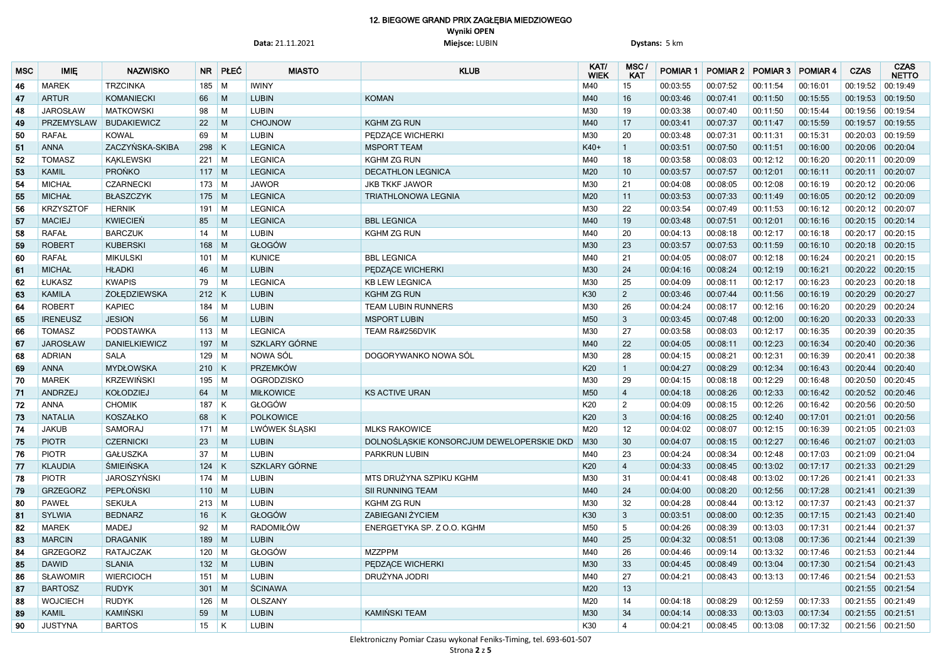#### 12. BIEGOWE GRAND PRIX ZAGŁĘBIA MIEDZIOWEGO **Wyniki OPEN**

**Data:** 21.11.2021 **Miejsce:** LUBIN **Dystans:** 5 km

| <b>MSC</b> | <b>IMIE</b>       | <b>NAZWISKO</b>    | <b>NR</b> | PŁEĆ                    | <b>MIASTO</b>  | <b>KLUB</b>                                                                                                                                                                                                                                                                                                                                                                                                                                                                                                                                                                                                                                                                                                                                                                                                                                                                                                                                                                                                                                                                                                                                                                                                                                                                                                                                                                                                                                                                                                                                                                                                                                                                                                                                                                                                                                                                                                                                                                                                                                                                                                                                                                                                                                                                                                                                                                                                                                                                                                                                                                                                                                                                                                                                                                                                                                                                                                                                                                                                                                                                                                                                                                                                                                                                                                                                                                                                                                                                                                                                                                                                                                                                                                                                                                                                                                                                                                                                                                                                                                                                                                                                                                                                                                                                                                                                                                                                                                                                                                                                                                                                                                                                                                                                                                                                                                                                                                                                                                                                                                                                                                                                                                                                                                                                                                                                                                                                                                                                                                                                                                                                                                                                                                                                                                                                                                                                                                                                                                                                                                                                                                                                                                                                                                                                                                                                                                                                                                                                                                                                                                                                                                                                                                                                                                                                                                                                                                         | KAT/<br><b>WIEK</b> | MSC/<br><b>KAT</b> | <b>POMIAR 1</b> | POMIAR 2 | POMIAR 3 POMIAR 4 |          | <b>CZAS</b>       | <b>CZAS</b><br><b>NETTO</b> |
|------------|-------------------|--------------------|-----------|-------------------------|----------------|---------------------------------------------------------------------------------------------------------------------------------------------------------------------------------------------------------------------------------------------------------------------------------------------------------------------------------------------------------------------------------------------------------------------------------------------------------------------------------------------------------------------------------------------------------------------------------------------------------------------------------------------------------------------------------------------------------------------------------------------------------------------------------------------------------------------------------------------------------------------------------------------------------------------------------------------------------------------------------------------------------------------------------------------------------------------------------------------------------------------------------------------------------------------------------------------------------------------------------------------------------------------------------------------------------------------------------------------------------------------------------------------------------------------------------------------------------------------------------------------------------------------------------------------------------------------------------------------------------------------------------------------------------------------------------------------------------------------------------------------------------------------------------------------------------------------------------------------------------------------------------------------------------------------------------------------------------------------------------------------------------------------------------------------------------------------------------------------------------------------------------------------------------------------------------------------------------------------------------------------------------------------------------------------------------------------------------------------------------------------------------------------------------------------------------------------------------------------------------------------------------------------------------------------------------------------------------------------------------------------------------------------------------------------------------------------------------------------------------------------------------------------------------------------------------------------------------------------------------------------------------------------------------------------------------------------------------------------------------------------------------------------------------------------------------------------------------------------------------------------------------------------------------------------------------------------------------------------------------------------------------------------------------------------------------------------------------------------------------------------------------------------------------------------------------------------------------------------------------------------------------------------------------------------------------------------------------------------------------------------------------------------------------------------------------------------------------------------------------------------------------------------------------------------------------------------------------------------------------------------------------------------------------------------------------------------------------------------------------------------------------------------------------------------------------------------------------------------------------------------------------------------------------------------------------------------------------------------------------------------------------------------------------------------------------------------------------------------------------------------------------------------------------------------------------------------------------------------------------------------------------------------------------------------------------------------------------------------------------------------------------------------------------------------------------------------------------------------------------------------------------------------------------------------------------------------------------------------------------------------------------------------------------------------------------------------------------------------------------------------------------------------------------------------------------------------------------------------------------------------------------------------------------------------------------------------------------------------------------------------------------------------------------------------------------------------------------------------------------------------------------------------------------------------------------------------------------------------------------------------------------------------------------------------------------------------------------------------------------------------------------------------------------------------------------------------------------------------------------------------------------------------------------------------------------------------------------------------------------------------------------------------------------------------------------------------------------------------------------------------------------------------------------------------------------------------------------------------------------------------------------------------------------------------------------------------------------------------------------------------------------------------------------------------------------------------------------------------------------------------------------------------------------------------------------------------------------------------------------------------------------------------------------------------------------------------------------------------------------------------------------------------------------------------------------------------------------------------------------------------------------------------------------------------------------------------------------------------------------------------------------------------------------------------|---------------------|--------------------|-----------------|----------|-------------------|----------|-------------------|-----------------------------|
| 46         | <b>MAREK</b>      | <b>TRZCINKA</b>    | 185       | $\blacksquare$          | <b>IWINY</b>   |                                                                                                                                                                                                                                                                                                                                                                                                                                                                                                                                                                                                                                                                                                                                                                                                                                                                                                                                                                                                                                                                                                                                                                                                                                                                                                                                                                                                                                                                                                                                                                                                                                                                                                                                                                                                                                                                                                                                                                                                                                                                                                                                                                                                                                                                                                                                                                                                                                                                                                                                                                                                                                                                                                                                                                                                                                                                                                                                                                                                                                                                                                                                                                                                                                                                                                                                                                                                                                                                                                                                                                                                                                                                                                                                                                                                                                                                                                                                                                                                                                                                                                                                                                                                                                                                                                                                                                                                                                                                                                                                                                                                                                                                                                                                                                                                                                                                                                                                                                                                                                                                                                                                                                                                                                                                                                                                                                                                                                                                                                                                                                                                                                                                                                                                                                                                                                                                                                                                                                                                                                                                                                                                                                                                                                                                                                                                                                                                                                                                                                                                                                                                                                                                                                                                                                                                                                                                                                                     | M40                 | 15                 | 00:03:55        | 00:07:52 | 00:11:54          | 00:16:01 | 00:19:52          | 00:19:49                    |
| 47         | <b>ARTUR</b>      | <b>KOMANIECKI</b>  | 66        | M                       | <b>LUBIN</b>   | <b>KOMAN</b>                                                                                                                                                                                                                                                                                                                                                                                                                                                                                                                                                                                                                                                                                                                                                                                                                                                                                                                                                                                                                                                                                                                                                                                                                                                                                                                                                                                                                                                                                                                                                                                                                                                                                                                                                                                                                                                                                                                                                                                                                                                                                                                                                                                                                                                                                                                                                                                                                                                                                                                                                                                                                                                                                                                                                                                                                                                                                                                                                                                                                                                                                                                                                                                                                                                                                                                                                                                                                                                                                                                                                                                                                                                                                                                                                                                                                                                                                                                                                                                                                                                                                                                                                                                                                                                                                                                                                                                                                                                                                                                                                                                                                                                                                                                                                                                                                                                                                                                                                                                                                                                                                                                                                                                                                                                                                                                                                                                                                                                                                                                                                                                                                                                                                                                                                                                                                                                                                                                                                                                                                                                                                                                                                                                                                                                                                                                                                                                                                                                                                                                                                                                                                                                                                                                                                                                                                                                                                                        | M40                 | 16                 | 00:03:46        | 00:07:41 | 00:11:50          | 00:15:55 | 00:19:53          | 00:19:50                    |
| 48         | <b>JAROSŁAW</b>   | <b>MATKOWSKI</b>   | 98        | M                       | <b>LUBIN</b>   |                                                                                                                                                                                                                                                                                                                                                                                                                                                                                                                                                                                                                                                                                                                                                                                                                                                                                                                                                                                                                                                                                                                                                                                                                                                                                                                                                                                                                                                                                                                                                                                                                                                                                                                                                                                                                                                                                                                                                                                                                                                                                                                                                                                                                                                                                                                                                                                                                                                                                                                                                                                                                                                                                                                                                                                                                                                                                                                                                                                                                                                                                                                                                                                                                                                                                                                                                                                                                                                                                                                                                                                                                                                                                                                                                                                                                                                                                                                                                                                                                                                                                                                                                                                                                                                                                                                                                                                                                                                                                                                                                                                                                                                                                                                                                                                                                                                                                                                                                                                                                                                                                                                                                                                                                                                                                                                                                                                                                                                                                                                                                                                                                                                                                                                                                                                                                                                                                                                                                                                                                                                                                                                                                                                                                                                                                                                                                                                                                                                                                                                                                                                                                                                                                                                                                                                                                                                                                                                     | M30                 | 19                 | 00:03:38        | 00:07:40 | 00:11:50          | 00:15:44 | 00:19:56 00:19:54 |                             |
| 49         | <b>PRZEMYSLAW</b> | <b>BUDAKIEWICZ</b> | 22        | M                       | <b>CHOJNOW</b> | <b>KGHM ZG RUN</b>                                                                                                                                                                                                                                                                                                                                                                                                                                                                                                                                                                                                                                                                                                                                                                                                                                                                                                                                                                                                                                                                                                                                                                                                                                                                                                                                                                                                                                                                                                                                                                                                                                                                                                                                                                                                                                                                                                                                                                                                                                                                                                                                                                                                                                                                                                                                                                                                                                                                                                                                                                                                                                                                                                                                                                                                                                                                                                                                                                                                                                                                                                                                                                                                                                                                                                                                                                                                                                                                                                                                                                                                                                                                                                                                                                                                                                                                                                                                                                                                                                                                                                                                                                                                                                                                                                                                                                                                                                                                                                                                                                                                                                                                                                                                                                                                                                                                                                                                                                                                                                                                                                                                                                                                                                                                                                                                                                                                                                                                                                                                                                                                                                                                                                                                                                                                                                                                                                                                                                                                                                                                                                                                                                                                                                                                                                                                                                                                                                                                                                                                                                                                                                                                                                                                                                                                                                                                                                  | M40                 | 17                 | 00:03:41        | 00:07:37 | 00:11:47          | 00:15:59 | 00:19:57          | 00:19:55                    |
| 50         | <b>RAFAŁ</b>      | <b>KOWAL</b>       | 69        | M                       | <b>LUBIN</b>   | PEDZĄCE WICHERKI                                                                                                                                                                                                                                                                                                                                                                                                                                                                                                                                                                                                                                                                                                                                                                                                                                                                                                                                                                                                                                                                                                                                                                                                                                                                                                                                                                                                                                                                                                                                                                                                                                                                                                                                                                                                                                                                                                                                                                                                                                                                                                                                                                                                                                                                                                                                                                                                                                                                                                                                                                                                                                                                                                                                                                                                                                                                                                                                                                                                                                                                                                                                                                                                                                                                                                                                                                                                                                                                                                                                                                                                                                                                                                                                                                                                                                                                                                                                                                                                                                                                                                                                                                                                                                                                                                                                                                                                                                                                                                                                                                                                                                                                                                                                                                                                                                                                                                                                                                                                                                                                                                                                                                                                                                                                                                                                                                                                                                                                                                                                                                                                                                                                                                                                                                                                                                                                                                                                                                                                                                                                                                                                                                                                                                                                                                                                                                                                                                                                                                                                                                                                                                                                                                                                                                                                                                                                                                    | M30                 | 20                 | 00:03:48        | 00:07:31 | 00:11:31          | 00:15:31 | 00:20:03 00:19:59 |                             |
| 51         | <b>ANNA</b>       | ZACZYŃSKA-SKIBA    | 298       | $\overline{\mathsf{K}}$ | <b>LEGNICA</b> | <b>MSPORT TEAM</b>                                                                                                                                                                                                                                                                                                                                                                                                                                                                                                                                                                                                                                                                                                                                                                                                                                                                                                                                                                                                                                                                                                                                                                                                                                                                                                                                                                                                                                                                                                                                                                                                                                                                                                                                                                                                                                                                                                                                                                                                                                                                                                                                                                                                                                                                                                                                                                                                                                                                                                                                                                                                                                                                                                                                                                                                                                                                                                                                                                                                                                                                                                                                                                                                                                                                                                                                                                                                                                                                                                                                                                                                                                                                                                                                                                                                                                                                                                                                                                                                                                                                                                                                                                                                                                                                                                                                                                                                                                                                                                                                                                                                                                                                                                                                                                                                                                                                                                                                                                                                                                                                                                                                                                                                                                                                                                                                                                                                                                                                                                                                                                                                                                                                                                                                                                                                                                                                                                                                                                                                                                                                                                                                                                                                                                                                                                                                                                                                                                                                                                                                                                                                                                                                                                                                                                                                                                                                                                  | K40+                |                    | 00:03:51        | 00:07:50 | 00:11:51          | 00:16:00 | 00:20:06 00:20:04 |                             |
| 52         | <b>TOMASZ</b>     | <b>KAKLEWSKI</b>   | $221$ M   |                         | <b>LEGNICA</b> | <b>KGHM ZG RUN</b>                                                                                                                                                                                                                                                                                                                                                                                                                                                                                                                                                                                                                                                                                                                                                                                                                                                                                                                                                                                                                                                                                                                                                                                                                                                                                                                                                                                                                                                                                                                                                                                                                                                                                                                                                                                                                                                                                                                                                                                                                                                                                                                                                                                                                                                                                                                                                                                                                                                                                                                                                                                                                                                                                                                                                                                                                                                                                                                                                                                                                                                                                                                                                                                                                                                                                                                                                                                                                                                                                                                                                                                                                                                                                                                                                                                                                                                                                                                                                                                                                                                                                                                                                                                                                                                                                                                                                                                                                                                                                                                                                                                                                                                                                                                                                                                                                                                                                                                                                                                                                                                                                                                                                                                                                                                                                                                                                                                                                                                                                                                                                                                                                                                                                                                                                                                                                                                                                                                                                                                                                                                                                                                                                                                                                                                                                                                                                                                                                                                                                                                                                                                                                                                                                                                                                                                                                                                                                                  | M40                 | 18                 | 00:03:58        | 00:08:03 | 00:12:12          | 00:16:20 | 00:20:11 00:20:09 |                             |
| 53         | <b>KAMIL</b>      | <b>PROŃKO</b>      | $117$ M   |                         | <b>LEGNICA</b> | <b>DECATHLON LEGNICA</b>                                                                                                                                                                                                                                                                                                                                                                                                                                                                                                                                                                                                                                                                                                                                                                                                                                                                                                                                                                                                                                                                                                                                                                                                                                                                                                                                                                                                                                                                                                                                                                                                                                                                                                                                                                                                                                                                                                                                                                                                                                                                                                                                                                                                                                                                                                                                                                                                                                                                                                                                                                                                                                                                                                                                                                                                                                                                                                                                                                                                                                                                                                                                                                                                                                                                                                                                                                                                                                                                                                                                                                                                                                                                                                                                                                                                                                                                                                                                                                                                                                                                                                                                                                                                                                                                                                                                                                                                                                                                                                                                                                                                                                                                                                                                                                                                                                                                                                                                                                                                                                                                                                                                                                                                                                                                                                                                                                                                                                                                                                                                                                                                                                                                                                                                                                                                                                                                                                                                                                                                                                                                                                                                                                                                                                                                                                                                                                                                                                                                                                                                                                                                                                                                                                                                                                                                                                                                                            | M20                 | 10                 | 00:03:57        | 00:07:57 | 00:12:01          | 00:16:11 | 00:20:11 00:20:07 |                             |
| 54         | <b>MICHAŁ</b>     | <b>CZARNECKI</b>   | $173$ M   |                         | <b>JAWOR</b>   | <b>JKB TKKF JAWOR</b>                                                                                                                                                                                                                                                                                                                                                                                                                                                                                                                                                                                                                                                                                                                                                                                                                                                                                                                                                                                                                                                                                                                                                                                                                                                                                                                                                                                                                                                                                                                                                                                                                                                                                                                                                                                                                                                                                                                                                                                                                                                                                                                                                                                                                                                                                                                                                                                                                                                                                                                                                                                                                                                                                                                                                                                                                                                                                                                                                                                                                                                                                                                                                                                                                                                                                                                                                                                                                                                                                                                                                                                                                                                                                                                                                                                                                                                                                                                                                                                                                                                                                                                                                                                                                                                                                                                                                                                                                                                                                                                                                                                                                                                                                                                                                                                                                                                                                                                                                                                                                                                                                                                                                                                                                                                                                                                                                                                                                                                                                                                                                                                                                                                                                                                                                                                                                                                                                                                                                                                                                                                                                                                                                                                                                                                                                                                                                                                                                                                                                                                                                                                                                                                                                                                                                                                                                                                                                               | M30                 | 21                 | 00:04:08        | 00:08:05 | 00:12:08          | 00:16:19 | 00:20:12 00:20:06 |                             |
| 55         | <b>MICHAŁ</b>     | <b>BŁASZCZYK</b>   | $175$ M   |                         | <b>LEGNICA</b> | <b>TRIATHLONOWA LEGNIA</b>                                                                                                                                                                                                                                                                                                                                                                                                                                                                                                                                                                                                                                                                                                                                                                                                                                                                                                                                                                                                                                                                                                                                                                                                                                                                                                                                                                                                                                                                                                                                                                                                                                                                                                                                                                                                                                                                                                                                                                                                                                                                                                                                                                                                                                                                                                                                                                                                                                                                                                                                                                                                                                                                                                                                                                                                                                                                                                                                                                                                                                                                                                                                                                                                                                                                                                                                                                                                                                                                                                                                                                                                                                                                                                                                                                                                                                                                                                                                                                                                                                                                                                                                                                                                                                                                                                                                                                                                                                                                                                                                                                                                                                                                                                                                                                                                                                                                                                                                                                                                                                                                                                                                                                                                                                                                                                                                                                                                                                                                                                                                                                                                                                                                                                                                                                                                                                                                                                                                                                                                                                                                                                                                                                                                                                                                                                                                                                                                                                                                                                                                                                                                                                                                                                                                                                                                                                                                                          | M20                 | 11                 | 00:03:53        | 00:07:33 | 00:11:49          | 00:16:05 | 00:20:12 00:20:09 |                             |
| 56         | <b>KRZYSZTOF</b>  | <b>HERNIK</b>      | 191       | $\blacksquare$          | <b>LEGNICA</b> |                                                                                                                                                                                                                                                                                                                                                                                                                                                                                                                                                                                                                                                                                                                                                                                                                                                                                                                                                                                                                                                                                                                                                                                                                                                                                                                                                                                                                                                                                                                                                                                                                                                                                                                                                                                                                                                                                                                                                                                                                                                                                                                                                                                                                                                                                                                                                                                                                                                                                                                                                                                                                                                                                                                                                                                                                                                                                                                                                                                                                                                                                                                                                                                                                                                                                                                                                                                                                                                                                                                                                                                                                                                                                                                                                                                                                                                                                                                                                                                                                                                                                                                                                                                                                                                                                                                                                                                                                                                                                                                                                                                                                                                                                                                                                                                                                                                                                                                                                                                                                                                                                                                                                                                                                                                                                                                                                                                                                                                                                                                                                                                                                                                                                                                                                                                                                                                                                                                                                                                                                                                                                                                                                                                                                                                                                                                                                                                                                                                                                                                                                                                                                                                                                                                                                                                                                                                                                                                     | M30                 | 22                 | 00:03:54        | 00:07:49 | 00:11:53          | 00:16:12 | 00:20:12 00:20:07 |                             |
| 57         | <b>MACIEJ</b>     | <b>KWIECIEŃ</b>    | 85        | M                       | <b>LEGNICA</b> | <b>BBL LEGNICA</b>                                                                                                                                                                                                                                                                                                                                                                                                                                                                                                                                                                                                                                                                                                                                                                                                                                                                                                                                                                                                                                                                                                                                                                                                                                                                                                                                                                                                                                                                                                                                                                                                                                                                                                                                                                                                                                                                                                                                                                                                                                                                                                                                                                                                                                                                                                                                                                                                                                                                                                                                                                                                                                                                                                                                                                                                                                                                                                                                                                                                                                                                                                                                                                                                                                                                                                                                                                                                                                                                                                                                                                                                                                                                                                                                                                                                                                                                                                                                                                                                                                                                                                                                                                                                                                                                                                                                                                                                                                                                                                                                                                                                                                                                                                                                                                                                                                                                                                                                                                                                                                                                                                                                                                                                                                                                                                                                                                                                                                                                                                                                                                                                                                                                                                                                                                                                                                                                                                                                                                                                                                                                                                                                                                                                                                                                                                                                                                                                                                                                                                                                                                                                                                                                                                                                                                                                                                                                                                  | M40                 | 19                 | 00:03:48        | 00:07:51 | 00:12:01          | 00:16:16 | 00:20:15 00:20:14 |                             |
| 58         | <b>RAFAŁ</b>      | <b>BARCZUK</b>     | 14        | M                       | <b>LUBIN</b>   | <b>KGHM ZG RUN</b>                                                                                                                                                                                                                                                                                                                                                                                                                                                                                                                                                                                                                                                                                                                                                                                                                                                                                                                                                                                                                                                                                                                                                                                                                                                                                                                                                                                                                                                                                                                                                                                                                                                                                                                                                                                                                                                                                                                                                                                                                                                                                                                                                                                                                                                                                                                                                                                                                                                                                                                                                                                                                                                                                                                                                                                                                                                                                                                                                                                                                                                                                                                                                                                                                                                                                                                                                                                                                                                                                                                                                                                                                                                                                                                                                                                                                                                                                                                                                                                                                                                                                                                                                                                                                                                                                                                                                                                                                                                                                                                                                                                                                                                                                                                                                                                                                                                                                                                                                                                                                                                                                                                                                                                                                                                                                                                                                                                                                                                                                                                                                                                                                                                                                                                                                                                                                                                                                                                                                                                                                                                                                                                                                                                                                                                                                                                                                                                                                                                                                                                                                                                                                                                                                                                                                                                                                                                                                                  | M40                 | 20                 | 00:04:13        | 00:08:18 | 00:12:17          | 00:16:18 | 00:20:17 00:20:15 |                             |
| 59         | <b>ROBERT</b>     | <b>KUBERSKI</b>    | 168       | M                       | GŁOGÓW         |                                                                                                                                                                                                                                                                                                                                                                                                                                                                                                                                                                                                                                                                                                                                                                                                                                                                                                                                                                                                                                                                                                                                                                                                                                                                                                                                                                                                                                                                                                                                                                                                                                                                                                                                                                                                                                                                                                                                                                                                                                                                                                                                                                                                                                                                                                                                                                                                                                                                                                                                                                                                                                                                                                                                                                                                                                                                                                                                                                                                                                                                                                                                                                                                                                                                                                                                                                                                                                                                                                                                                                                                                                                                                                                                                                                                                                                                                                                                                                                                                                                                                                                                                                                                                                                                                                                                                                                                                                                                                                                                                                                                                                                                                                                                                                                                                                                                                                                                                                                                                                                                                                                                                                                                                                                                                                                                                                                                                                                                                                                                                                                                                                                                                                                                                                                                                                                                                                                                                                                                                                                                                                                                                                                                                                                                                                                                                                                                                                                                                                                                                                                                                                                                                                                                                                                                                                                                                                                     | M30                 | 23                 | 00:03:57        | 00:07:53 | 00:11:59          | 00:16:10 | 00:20:18 00:20:15 |                             |
| 60         | <b>RAFAŁ</b>      | <b>MIKULSKI</b>    | 101       | $\blacksquare$          | <b>KUNICE</b>  | <b>BBL LEGNICA</b>                                                                                                                                                                                                                                                                                                                                                                                                                                                                                                                                                                                                                                                                                                                                                                                                                                                                                                                                                                                                                                                                                                                                                                                                                                                                                                                                                                                                                                                                                                                                                                                                                                                                                                                                                                                                                                                                                                                                                                                                                                                                                                                                                                                                                                                                                                                                                                                                                                                                                                                                                                                                                                                                                                                                                                                                                                                                                                                                                                                                                                                                                                                                                                                                                                                                                                                                                                                                                                                                                                                                                                                                                                                                                                                                                                                                                                                                                                                                                                                                                                                                                                                                                                                                                                                                                                                                                                                                                                                                                                                                                                                                                                                                                                                                                                                                                                                                                                                                                                                                                                                                                                                                                                                                                                                                                                                                                                                                                                                                                                                                                                                                                                                                                                                                                                                                                                                                                                                                                                                                                                                                                                                                                                                                                                                                                                                                                                                                                                                                                                                                                                                                                                                                                                                                                                                                                                                                                                  | M40                 | 21                 | 00:04:05        | 00:08:07 | 00:12:18          | 00:16:24 | 00:20:21          | 00:20:15                    |
| 61         | <b>MICHAŁ</b>     | <b>HŁADKI</b>      | 46        | M                       | <b>LUBIN</b>   | PEDZĄCE WICHERKI                                                                                                                                                                                                                                                                                                                                                                                                                                                                                                                                                                                                                                                                                                                                                                                                                                                                                                                                                                                                                                                                                                                                                                                                                                                                                                                                                                                                                                                                                                                                                                                                                                                                                                                                                                                                                                                                                                                                                                                                                                                                                                                                                                                                                                                                                                                                                                                                                                                                                                                                                                                                                                                                                                                                                                                                                                                                                                                                                                                                                                                                                                                                                                                                                                                                                                                                                                                                                                                                                                                                                                                                                                                                                                                                                                                                                                                                                                                                                                                                                                                                                                                                                                                                                                                                                                                                                                                                                                                                                                                                                                                                                                                                                                                                                                                                                                                                                                                                                                                                                                                                                                                                                                                                                                                                                                                                                                                                                                                                                                                                                                                                                                                                                                                                                                                                                                                                                                                                                                                                                                                                                                                                                                                                                                                                                                                                                                                                                                                                                                                                                                                                                                                                                                                                                                                                                                                                                                    | M30                 | 24                 | 00:04:16        | 00:08:24 | 00:12:19          | 00:16:21 | 00:20:22 00:20:15 |                             |
| 62         | ŁUKASZ            | <b>KWAPIS</b>      | 79        | M                       | <b>LEGNICA</b> | <b>KB LEW LEGNICA</b>                                                                                                                                                                                                                                                                                                                                                                                                                                                                                                                                                                                                                                                                                                                                                                                                                                                                                                                                                                                                                                                                                                                                                                                                                                                                                                                                                                                                                                                                                                                                                                                                                                                                                                                                                                                                                                                                                                                                                                                                                                                                                                                                                                                                                                                                                                                                                                                                                                                                                                                                                                                                                                                                                                                                                                                                                                                                                                                                                                                                                                                                                                                                                                                                                                                                                                                                                                                                                                                                                                                                                                                                                                                                                                                                                                                                                                                                                                                                                                                                                                                                                                                                                                                                                                                                                                                                                                                                                                                                                                                                                                                                                                                                                                                                                                                                                                                                                                                                                                                                                                                                                                                                                                                                                                                                                                                                                                                                                                                                                                                                                                                                                                                                                                                                                                                                                                                                                                                                                                                                                                                                                                                                                                                                                                                                                                                                                                                                                                                                                                                                                                                                                                                                                                                                                                                                                                                                                               | M30                 | 25                 | 00:04:09        | 00:08:11 | 00:12:17          | 00:16:23 | 00:20:23 00:20:18 |                             |
| 63         | <b>KAMILA</b>     | ŻOŁĘDZIEWSKA       | $212$ K   |                         | <b>LUBIN</b>   | <b>KGHM ZG RUN</b>                                                                                                                                                                                                                                                                                                                                                                                                                                                                                                                                                                                                                                                                                                                                                                                                                                                                                                                                                                                                                                                                                                                                                                                                                                                                                                                                                                                                                                                                                                                                                                                                                                                                                                                                                                                                                                                                                                                                                                                                                                                                                                                                                                                                                                                                                                                                                                                                                                                                                                                                                                                                                                                                                                                                                                                                                                                                                                                                                                                                                                                                                                                                                                                                                                                                                                                                                                                                                                                                                                                                                                                                                                                                                                                                                                                                                                                                                                                                                                                                                                                                                                                                                                                                                                                                                                                                                                                                                                                                                                                                                                                                                                                                                                                                                                                                                                                                                                                                                                                                                                                                                                                                                                                                                                                                                                                                                                                                                                                                                                                                                                                                                                                                                                                                                                                                                                                                                                                                                                                                                                                                                                                                                                                                                                                                                                                                                                                                                                                                                                                                                                                                                                                                                                                                                                                                                                                                                                  | K30                 | $\overline{2}$     | 00:03:46        | 00:07:44 | 00:11:56          | 00:16:19 | 00:20:29          | 00:20:27                    |
| 64         | <b>ROBERT</b>     | <b>KAPIEC</b>      | $184$ M   |                         | <b>LUBIN</b>   | <b>TEAM LUBIN RUNNERS</b>                                                                                                                                                                                                                                                                                                                                                                                                                                                                                                                                                                                                                                                                                                                                                                                                                                                                                                                                                                                                                                                                                                                                                                                                                                                                                                                                                                                                                                                                                                                                                                                                                                                                                                                                                                                                                                                                                                                                                                                                                                                                                                                                                                                                                                                                                                                                                                                                                                                                                                                                                                                                                                                                                                                                                                                                                                                                                                                                                                                                                                                                                                                                                                                                                                                                                                                                                                                                                                                                                                                                                                                                                                                                                                                                                                                                                                                                                                                                                                                                                                                                                                                                                                                                                                                                                                                                                                                                                                                                                                                                                                                                                                                                                                                                                                                                                                                                                                                                                                                                                                                                                                                                                                                                                                                                                                                                                                                                                                                                                                                                                                                                                                                                                                                                                                                                                                                                                                                                                                                                                                                                                                                                                                                                                                                                                                                                                                                                                                                                                                                                                                                                                                                                                                                                                                                                                                                                                           | M30                 | 26                 | 00:04:24        | 00:08:17 | 00:12:16          | 00:16:20 | 00:20:29          | 00:20:24                    |
| 65         | <b>IRENEUSZ</b>   | <b>JESION</b>      | 56        | M                       | <b>LUBIN</b>   | <b>MSPORT LUBIN</b>                                                                                                                                                                                                                                                                                                                                                                                                                                                                                                                                                                                                                                                                                                                                                                                                                                                                                                                                                                                                                                                                                                                                                                                                                                                                                                                                                                                                                                                                                                                                                                                                                                                                                                                                                                                                                                                                                                                                                                                                                                                                                                                                                                                                                                                                                                                                                                                                                                                                                                                                                                                                                                                                                                                                                                                                                                                                                                                                                                                                                                                                                                                                                                                                                                                                                                                                                                                                                                                                                                                                                                                                                                                                                                                                                                                                                                                                                                                                                                                                                                                                                                                                                                                                                                                                                                                                                                                                                                                                                                                                                                                                                                                                                                                                                                                                                                                                                                                                                                                                                                                                                                                                                                                                                                                                                                                                                                                                                                                                                                                                                                                                                                                                                                                                                                                                                                                                                                                                                                                                                                                                                                                                                                                                                                                                                                                                                                                                                                                                                                                                                                                                                                                                                                                                                                                                                                                                                                 | M50                 | $\mathbf{3}$       | 00:03:45        | 00:07:48 | 00:12:00          | 00:16:20 | 00:20:33 00:20:33 |                             |
| 66         | <b>TOMASZ</b>     | <b>PODSTAWKA</b>   | $113$ M   |                         | <b>LEGNICA</b> | TEAM R&#256DVIK</th><th>M30</th><th>27</th><th>00:03:58</th><th>00:08:03</th><th>00:12:17</th><th>00:16:35</th><th>00:20:39</th><th>00:20:35</th></tr><tr><th>67</th><th><b>JAROSŁAW</b></th><th><b>DANIELKIEWICZ</b></th><th><math>197</math> M</th><th></th><th>SZKLARY GÓRNE</th><th></th><th>M40</th><th>22</th><th>00:04:05</th><th>00:08:11</th><th>00:12:23</th><th>00:16:34</th><th>00:20:40 00:20:36</th><th></th></tr><tr><th>68</th><th><b>ADRIAN</b></th><th><b>SALA</b></th><th><math>129</math> M</th><th></th><th>NOWA SÓL</th><th>DOGORYWANKO NOWA SÓL</th><th>M30</th><th>28</th><th>00:04:15</th><th>00:08:21</th><th>00:12:31</th><th>00:16:39</th><th>00:20:41 00:20:38</th><th></th></tr><tr><th>69</th><th><b>ANNA</b></th><th><b>MYDŁOWSKA</b></th><th><math>210</math> K</th><th></th><th>PRZEMKÓW</th><th></th><th>K20</th><th></th><th>00:04:27</th><th>00:08:29</th><th>00:12:34</th><th>00:16:43</th><th>00:20:44</th><th> 00:20:40</th></tr><tr><th>70</th><th><b>MAREK</b></th><th><b>KRZEWIŃSKI</b></th><th>195</th><th><math>\blacksquare</math></th><th><b>OGRODZISKO</b></th><th></th><th>M30</th><th>29</th><th>00:04:15</th><th>00:08:18</th><th>00:12:29</th><th>00:16:48</th><th>00:20:50</th><th>00:20:45</th></tr><tr><th>71</th><th>ANDRZEJ</th><th><b>KOŁODZIEJ</b></th><th>64</th><th>M</th><th><b>MIŁKOWICE</b></th><th><b>KS ACTIVE URAN</b></th><th>M50</th><th>4</th><th>00:04:18</th><th>00:08:26</th><th>00:12:33</th><th>00:16:42</th><th>00:20:52</th><th> 00:20:46</th></tr><tr><th>72</th><th><b>ANNA</b></th><th><b>CHOMIK</b></th><th><math>187</math> K</th><th></th><th>GŁOGÓW</th><th></th><th>K20</th><th><math>\overline{2}</math></th><th>00:04:09</th><th>00:08:15</th><th>00:12:26</th><th>00:16:42</th><th>00:20:56 00:20:50</th><th></th></tr><tr><th>73</th><th><b>NATALIA</b></th><th><b>KOSZAŁKO</b></th><th>68</th><th><math display="inline">\sf K</math></th><th><b>POLKOWICE</b></th><th></th><th>K20</th><th><math>\mathbf{3}</math></th><th>00:04:16</th><th>00:08:25</th><th>00:12:40</th><th>00:17:01</th><th>00:21:01 00:20:56</th><th></th></tr><tr><th>74</th><th><b>JAKUB</b></th><th>SAMORAJ</th><th><math>171</math> M</th><th></th><th>LWÓWEK ŚLĄSKI</th><th><b>MLKS RAKOWICE</b></th><th>M20</th><th>12</th><th>00:04:02</th><th>00:08:07</th><th>00:12:15</th><th>00:16:39</th><th>00:21:05 00:21:03</th><th></th></tr><tr><th>75</th><th><b>PIOTR</b></th><th><b>CZERNICKI</b></th><th>23</th><th>M</th><th><b>LUBIN</b></th><th>DOLNOŚLĄSKIE KONSORCJUM DEWELOPERSKIE DKD</th><th>M30</th><th>30</th><th>00:04:07</th><th>00:08:15</th><th>00:12:27</th><th>00:16:46</th><th>00:21:07 00:21:03</th><th></th></tr><tr><th>76</th><th><b>PIOTR</b></th><th><b>GAŁUSZKA</b></th><th>37</th><th>M</th><th><b>LUBIN</b><br>SZKLARY GÓRNE</th><th>PARKRUN LUBIN</th><th>M40</th><th>23</th><th>00:04:24</th><th>00:08:34</th><th>00:12:48</th><th>00:17:03</th><th>00:21:09 00:21:04<br>00:21:33 00:21:29</th><th></th></tr><tr><th>77</th><th><b>KLAUDIA</b><br><b>PIOTR</b></th><th>ŚMIEIŃSKA<br><b>JAROSZYŃSKI</b></th><th><math>124</math> K<br><math>174</math> M</th><th></th><th><b>LUBIN</b></th><th>MTS DRUŻYNA SZPIKU KGHM</th><th>K20<br>M30</th><th><math>\overline{4}</math><br>31</th><th>00:04:33<br>00:04:41</th><th>00:08:45<br>00:08:48</th><th>00:13:02<br>00:13:02</th><th>00:17:17<br>00:17:26</th><th>00:21:41 00:21:33</th><th></th></tr><tr><th>78<br>79</th><th><b>GRZEGORZ</b></th><th><b>PEPŁOŃSKI</b></th><th><math>110</math> M</th><th></th><th><b>LUBIN</b></th><th>SII RUNNING TEAM</th><th>M40</th><th>24</th><th>00:04:00</th><th>00:08:20</th><th>00:12:56</th><th>00:17:28</th><th>00:21:41 00:21:39</th><th></th></tr><tr><th>80</th><th><b>PAWEŁ</b></th><th><b>SEKUŁA</b></th><th><math>213</math> M</th><th></th><th><b>LUBIN</b></th><th><b>KGHM ZG RUN</b></th><th>M30</th><th>32</th><th>00:04:28</th><th>00:08:44</th><th>00:13:12</th><th>00:17:37</th><th>00:21:43 00:21:37</th><th></th></tr><tr><th>81</th><th><b>SYLWIA</b></th><th><b>BEDNARZ</b></th><th><math>16</math> K</th><th></th><th>GŁOGÓW</th><th>ZABIEGANI ŻYCIEM</th><th>K30</th><th><math>\mathbf{3}</math></th><th>00:03:51</th><th>00:08:00</th><th>00:12:35</th><th>00:17:15</th><th>00:21:43 00:21:40</th><th></th></tr><tr><th>82</th><th><b>MAREK</b></th><th><b>MADEJ</b></th><th>92</th><th>M</th><th>RADOMIŁÓW</th><th>ENERGETYKA SP. Z O.O. KGHM</th><th>M50</th><th>5</th><th>00:04:26</th><th>00:08:39</th><th>00:13:03</th><th>00:17:31</th><th>00:21:44 00:21:37</th><th></th></tr><tr><th>83</th><th><b>MARCIN</b></th><th><b>DRAGANIK</b></th><th><math>189</math> M</th><th></th><th><b>LUBIN</b></th><th></th><th>M40</th><th>25</th><th>00:04:32</th><th>00:08:51</th><th>00:13:08</th><th>00:17:36</th><th>00:21:44 00:21:39</th><th></th></tr><tr><th>84</th><th><b>GRZEGORZ</b></th><th>RATAJCZAK</th><th><math>120</math> M</th><th></th><th>GŁOGÓW</th><th><b>MZZPPM</b></th><th>M40</th><th>26</th><th>00:04:46</th><th>00:09:14</th><th>00:13:32</th><th>00:17:46</th><th>00:21:53 00:21:44</th><th></th></tr><tr><th>85</th><th><b>DAWID</b></th><th><b>SLANIA</b></th><th><math>132</math> M</th><th></th><th><b>LUBIN</b></th><th>PEDZĄCE WICHERKI</th><th>M30</th><th>33</th><th>00:04:45</th><th>00:08:49</th><th>00:13:04</th><th>00:17:30</th><th>00:21:54 00:21:43</th><th></th></tr><tr><th>86</th><th><b>SŁAWOMIR</b></th><th><b>WIERCIOCH</b></th><th><math>151</math> M</th><th></th><th><b>LUBIN</b></th><th>DRUŻYNA JODRI</th><th>M40</th><th>27</th><th>00:04:21</th><th>00:08:43</th><th>00:13:13</th><th>00:17:46</th><th>00:21:54 00:21:53</th><th></th></tr><tr><th>87</th><th><b>BARTOSZ</b></th><th><b>RUDYK</b></th><th><math>301</math> M</th><th></th><th><b>ŚCINAWA</b></th><th></th><th>M20</th><th>13</th><th></th><th></th><th></th><th></th><th>00:21:55 00:21:54</th><th></th></tr><tr><th>88</th><th><b>WOJCIECH</b></th><th><b>RUDYK</b></th><th><math>126</math> M</th><th></th><th>OLSZANY</th><th></th><th>M20</th><th>14</th><th>00:04:18</th><th>00:08:29</th><th>00:12:59</th><th>00:17:33</th><th>00:21:55 00:21:49</th><th></th></tr><tr><th>89</th><th>KAMIL</th><th><b>KAMIŃSKI</b></th><th>59</th><th>M</th><th><b>LUBIN</b></th><th>KAMIŃSKI TEAM</th><th>M30</th><th>34</th><th>00:04:14</th><th>00:08:33</th><th>00:13:03</th><th>00:17:34</th><th><math>00:21:55</math> 00:21:51</th><th></th></tr><tr><th>90</th><th><b>JUSTYNA</b></th><th><b>BARTOS</b></th><th>15</th><th><math>\mathsf{K}</math></th><th><b>LUBIN</b></th><th></th><th>K30</th><th>4</th><th>00:04:21</th><th>00:08:45</th><th>00:13:08</th><th>00:17:32</th><th>00:21:56 00:21:50</th><th></th></tr><tr><th></th><th></th><th></th><th></th><th></th><th></th><th></th><th></th><th></th><th></th><th></th><th></th><th></th><th></th><th></th></tr></tbody></table> |                     |                    |                 |          |                   |          |                   |                             |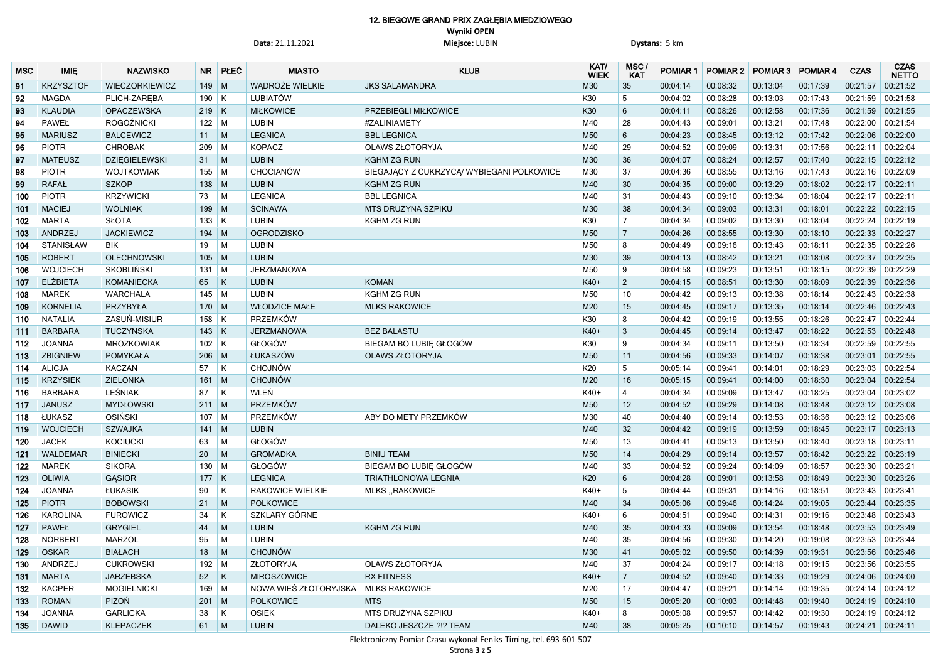# 12. BIEGOWE GRAND PRIX ZAGŁĘBIA MIEDZIOWEGO **Wyniki OPEN**

**Data:** 21.11.2021 **Miejsce:** LUBIN **Dystans:** 5 km

| <b>MSC</b> | <b>IMIE</b>      | <b>NAZWISKO</b>      | <b>NR</b>   | PŁEĆ           | <b>MIASTO</b>           | <b>KLUB</b>                               | KAT/<br><b>WIEK</b> | MSC/<br><b>KAT</b> | <b>POMIAR 1</b> | <b>POMIAR 2</b> | POMIAR 3 POMIAR 4 |          | <b>CZAS</b>         | <b>CZAS</b><br><b>NETTO</b> |
|------------|------------------|----------------------|-------------|----------------|-------------------------|-------------------------------------------|---------------------|--------------------|-----------------|-----------------|-------------------|----------|---------------------|-----------------------------|
| 91         | <b>KRZYSZTOF</b> | WIECZORKIEWICZ       | $149$ M     |                | <b>WADROŻE WIELKIE</b>  | <b>JKS SALAMANDRA</b>                     | M30                 | 35                 | 00:04:14        | 00:08:32        | 00:13:04          | 00:17:39 | 00:21:57            | 00:21:52                    |
| 92         | <b>MAGDA</b>     | PLICH-ZAREBA         | $190$ K     |                | <b>LUBIATÓW</b>         |                                           | K30                 | $5\phantom{.0}$    | 00:04:02        | 00:08:28        | 00:13:03          | 00:17:43 | 00:21:59            | 00:21:58                    |
| 93         | <b>KLAUDIA</b>   | OPACZEWSKA           | $219$ K     |                | <b>MIŁKOWICE</b>        | PRZEBIEGLI MIŁKOWICE                      | K30                 | 6                  | 00:04:11        | 00:08:26        | 00:12:58          | 00:17:36 | 00:21:59 00:21:55   |                             |
| 94         | <b>PAWEŁ</b>     | <b>ROGOŹNICKI</b>    | $122$ M     |                | <b>LUBIN</b>            | #ZALINIAMETY                              | M40                 | 28                 | 00:04:43        | 00:09:01        | 00:13:21          | 00:17:48 | 00:22:00            | 00:21:54                    |
| 95         | <b>MARIUSZ</b>   | <b>BALCEWICZ</b>     | 11          | $\blacksquare$ | <b>LEGNICA</b>          | <b>BBL LEGNICA</b>                        | M50                 | $6\,$              | 00:04:23        | 00:08:45        | 00:13:12          | 00:17:42 | 00:22:06 00:22:00   |                             |
| 96         | <b>PIOTR</b>     | <b>CHROBAK</b>       | 209         | $\blacksquare$ | <b>KOPACZ</b>           | <b>OLAWS ZŁOTORYJA</b>                    | M40                 | 29                 | 00:04:52        | 00:09:09        | 00:13:31          | 00:17:56 | 00:22:11 00:22:04   |                             |
| 97         | <b>MATEUSZ</b>   | <b>DZIĘGIELEWSKI</b> | 31          | M              | <b>LUBIN</b>            | <b>KGHM ZG RUN</b>                        | M30                 | 36                 | 00:04:07        | 00:08:24        | 00:12:57          | 00:17:40 | 00:22:15 00:22:12   |                             |
| 98         | <b>PIOTR</b>     | <b>WOJTKOWIAK</b>    | 155         | $\blacksquare$ | CHOCIANÓW               | BIEGAJĄCY Z CUKRZYCĄ/ WYBIEGANI POLKOWICE | M30                 | 37                 | 00:04:36        | 00:08:55        | 00:13:16          | 00:17:43 | 00:22:16            | 00:22:09                    |
| 99         | <b>RAFAŁ</b>     | <b>SZKOP</b>         | $138$ M     |                | <b>LUBIN</b>            | <b>KGHM ZG RUN</b>                        | M40                 | 30 <sup>°</sup>    | 00:04:35        | 00:09:00        | 00:13:29          | 00:18:02 | 00:22:17            | 00:22:11                    |
| 100        | <b>PIOTR</b>     | <b>KRZYWICKI</b>     | 73          | M              | <b>LEGNICA</b>          | <b>BBL LEGNICA</b>                        | M40                 | 31                 | 00:04:43        | 00:09:10        | 00:13:34          | 00:18:04 | 00:22:17 00:22:11   |                             |
| 101        | <b>MACIEJ</b>    | <b>WOLNIAK</b>       | 199         | M              | <b>ŚCINAWA</b>          | MTS DRUŻYNA SZPIKU                        | M30                 | 38                 | 00:04:34        | 00:09:03        | 00:13:31          | 00:18:01 | 00:22:22            | 00:22:15                    |
| 102        | <b>MARTA</b>     | <b>SŁOTA</b>         | $133$ K     |                | <b>LUBIN</b>            | <b>KGHM ZG RUN</b>                        | K30                 | $\overline{7}$     | 00:04:34        | 00:09:02        | 00:13:30          | 00:18:04 | 00:22:24 00:22:19   |                             |
| 103        | ANDRZEJ          | <b>JACKIEWICZ</b>    | 194         | $\blacksquare$ | <b>OGRODZISKO</b>       |                                           | M50                 | 7                  | 00:04:26        | 00:08:55        | 00:13:30          | 00:18:10 | 00:22:33            | 00:22:27                    |
| 104        | <b>STANISŁAW</b> | <b>BIK</b>           | 19          | M              | <b>LUBIN</b>            |                                           | M50                 | 8                  | 00:04:49        | 00:09:16        | 00:13:43          | 00:18:11 | 00:22:35            | 00:22:26                    |
| 105        | <b>ROBERT</b>    | <b>OLECHNOWSKI</b>   | $105$ M     |                | <b>LUBIN</b>            |                                           | M30                 | 39                 | 00:04:13        | 00:08:42        | 00:13:21          | 00:18:08 | 00:22:37 00:22:35   |                             |
| 106        | <b>WOJCIECH</b>  | <b>SKOBLIŃSKI</b>    | $131$ M     |                | <b>JERZMANOWA</b>       |                                           | M50                 | 9                  | 00:04:58        | 00:09:23        | 00:13:51          | 00:18:15 | 00:22:39            | 00:22:29                    |
| 107        | <b>ELŻBIETA</b>  | <b>KOMANIECKA</b>    | 65          | K              | <b>LUBIN</b>            | <b>KOMAN</b>                              | K40+                | $\overline{2}$     | 00:04:15        | 00:08:51        | 00:13:30          | 00:18:09 | 00:22:39 00:22:36   |                             |
| 108        | <b>MAREK</b>     | <b>WARCHALA</b>      | $145$ M     |                | <b>LUBIN</b>            | <b>KGHM ZG RUN</b>                        | M50                 | 10                 | 00:04:42        | 00:09:13        | 00:13:38          | 00:18:14 | 00:22:43            | 00:22:38                    |
| 109        | <b>KORNELIA</b>  | PRZYBYŁA             | $170$ M     |                | <b>WŁODZICE MAŁE</b>    | <b>MLKS RAKOWICE</b>                      | M20                 | 15                 | 00:04:45        | 00:09:17        | 00:13:35          | 00:18:14 | 00:22:46 00:22:43   |                             |
| 110        | <b>NATALIA</b>   | ZASUŃ-MISIUR         | $158$ K     |                | PRZEMKÓW                |                                           | K30                 | 8                  | 00:04:42        | 00:09:19        | 00:13:55          | 00:18:26 | 00:22:47 00:22:44   |                             |
| 111        | <b>BARBARA</b>   | <b>TUCZYNSKA</b>     | $143$ K     |                | <b>JERZMANOWA</b>       | <b>BEZ BALASTU</b>                        | K40+                | 3                  | 00:04:45        | 00:09:14        | 00:13:47          | 00:18:22 | 00:22:53            | 00:22:48                    |
| 112        | <b>JOANNA</b>    | <b>MROZKOWIAK</b>    | $102$ K     |                | GŁOGÓW                  | BIEGAM BO LUBIE GŁOGÓW                    | K30                 | 9                  | 00:04:34        | 00:09:11        | 00:13:50          | 00:18:34 | 00:22:59            | 00:22:55                    |
| 113        | <b>ZBIGNIEW</b>  | <b>POMYKAŁA</b>      | $206$ M     |                | ŁUKASZÓW                | <b>OLAWS ZŁOTORYJA</b>                    | M50                 | 11                 | 00:04:56        | 00:09:33        | 00:14:07          | 00:18:38 | 00:23:01            | 00:22:55                    |
| 114        | <b>ALICJA</b>    | KACZAN               | 57          | K              | <b>CHOJNÓW</b>          |                                           | K20                 | $5\phantom{.0}$    | 00:05:14        | 00:09:41        | 00:14:01          | 00:18:29 | 00:23:03 00:22:54   |                             |
| 115        | <b>KRZYSIEK</b>  | <b>ZIELONKA</b>      | 161         | M              | <b>CHOJNÓW</b>          |                                           | M20                 | 16                 | 00:05:15        | 00:09:41        | 00:14:00          | 00:18:30 | 00:23:04            | 00:22:54                    |
| 116        | <b>BARBARA</b>   | <b>LEŚNIAK</b>       | 87          | K              | WLEŃ                    |                                           | K40+                | $\overline{4}$     | 00:04:34        | 00:09:09        | 00:13:47          | 00:18:25 | 00:23:04            | 00:23:02                    |
| 117        | <b>JANUSZ</b>    | <b>MYDŁOWSKI</b>     | $211$ M     |                | PRZEMKÓW                |                                           | M50                 | 12                 | 00:04:52        | 00:09:29        | 00:14:08          | 00:18:48 | 00:23:12 00:23:08   |                             |
| 118        | ŁUKASZ           | <b>OSIŃSKI</b>       | $107$ M     |                | <b>PRZEMKÓW</b>         | ABY DO METY PRZEMKÓW                      | M30                 | 40                 | 00:04:40        | 00:09:14        | 00:13:53          | 00:18:36 | 00:23:12 00:23:06   |                             |
| 119        | <b>WOJCIECH</b>  | <b>SZWAJKA</b>       | $141$ M     |                | <b>LUBIN</b>            |                                           | M40                 | 32                 | 00:04:42        | 00:09:19        | 00:13:59          | 00:18:45 | 00:23:17 00:23:13   |                             |
| 120        | <b>JACEK</b>     | <b>KOCIUCKI</b>      | 63          | M              | GŁOGÓW                  |                                           | M50                 | 13                 | 00:04:41        | 00:09:13        | 00:13:50          | 00:18:40 | $00:23:18$ 00:23:11 |                             |
| $121$      | <b>WALDEMAR</b>  | <b>BINIECKI</b>      | 20          | M              | <b>GROMADKA</b>         | <b>BINIU TEAM</b>                         | M50                 | 14                 | 00:04:29        | 00:09:14        | 00:13:57          | 00:18:42 | 00:23:22 00:23:19   |                             |
| 122        | <b>MAREK</b>     | <b>SIKORA</b>        | $130$ M     |                | GŁOGÓW                  | BIEGAM BO LUBIE GŁOGÓW                    | M40                 | 33                 | 00:04:52        | 00:09:24        | 00:14:09          | 00:18:57 | 00:23:30 00:23:21   |                             |
| 123        | <b>OLIWIA</b>    | <b>GASIOR</b>        | $177$ K     |                | <b>LEGNICA</b>          | <b>TRIATHLONOWA LEGNIA</b>                | K20                 | 6                  | 00:04:28        | 00:09:01        | 00:13:58          | 00:18:49 | 00:23:30 00:23:26   |                             |
| 124        | <b>JOANNA</b>    | <b>ŁUKASIK</b>       | 90          | K              | <b>RAKOWICE WIELKIE</b> | MLKS "RAKOWICE                            | K40+                | 5                  | 00:04:44        | 00:09:31        | 00:14:16          | 00:18:51 | 00:23:43 00:23:41   |                             |
| 125        | <b>PIOTR</b>     | <b>BOBOWSKI</b>      | 21          | M              | <b>POLKOWICE</b>        |                                           | M40                 | 34                 | 00:05:06        | 00:09:46        | 00:14:24          | 00:19:05 | 00:23:44 00:23:35   |                             |
| 126        | <b>KAROLINA</b>  | <b>FUROWICZ</b>      | 34          | K              | SZKLARY GÓRNE           |                                           | K40+                | 6                  | 00:04:51        | 00:09:40        | 00:14:31          | 00:19:16 | 00:23:48 00:23:43   |                             |
| 127        | <b>PAWEŁ</b>     | <b>GRYGIEL</b>       | 44          | M              | <b>LUBIN</b>            | <b>KGHM ZG RUN</b>                        | M40                 | 35                 | 00:04:33        | 00:09:09        | 00:13:54          | 00:18:48 | 00:23:53 00:23:49   |                             |
| 128        | <b>NORBERT</b>   | <b>MARZOL</b>        | 95          | M              | <b>LUBIN</b>            |                                           | M40                 | 35                 | 00:04:56        | 00:09:30        | 00:14:20          | 00:19:08 | 00:23:53 00:23:44   |                             |
| 129        | <b>OSKAR</b>     | <b>BIAŁACH</b>       | 18          | M              | <b>CHOJNÓW</b>          |                                           | M30                 | 41                 | 00:05:02        | 00:09:50        | 00:14:39          | 00:19:31 | 00:23:56 00:23:46   |                             |
| 130        | ANDRZEJ          | <b>CUKROWSKI</b>     | 192 M       |                | ZŁOTORYJA               | <b>OLAWS ZŁOTORYJA</b>                    | M40                 | 37                 | 00:04:24        | 00:09:17        | 00:14:18          | 00:19:15 | 00:23:56 00:23:55   |                             |
| 131        | <b>MARTA</b>     | <b>JARZEBSKA</b>     | $52 \mid K$ |                | <b>MIROSZOWICE</b>      | <b>RX FITNESS</b>                         | $K40+$              | $\overline{7}$     | 00:04:52        | 00:09:40        | 00:14:33          | 00:19:29 | 00:24:06 00:24:00   |                             |
| 132        | <b>KACPER</b>    | <b>MOGIELNICKI</b>   | $169$ M     |                | NOWA WIEŚ ZŁOTORYJSKA   | <b>MLKS RAKOWICE</b>                      | M20                 | 17                 | 00:04:47        | 00:09:21        | 00:14:14          | 00:19:35 |                     | $00:24:14$ 00:24:12         |
| 133        | <b>ROMAN</b>     | PIZOŃ                | $201$ M     |                | <b>POLKOWICE</b>        | <b>MTS</b>                                | M50                 | 15                 | 00:05:20        | 00:10:03        | 00:14:48          | 00:19:40 | 00:24:19 00:24:10   |                             |
| 134        | <b>JOANNA</b>    | <b>GARLICKA</b>      | 38          | K              | <b>OSIEK</b>            | MTS DRUŻYNA SZPIKU                        | K40+                | 8                  | 00:05:08        | 00:09:57        | 00:14:42          | 00:19:30 |                     | $00:24:19$ 00:24:12         |
| 135        | <b>DAWID</b>     | <b>KLEPACZEK</b>     | $61$ M      |                | <b>LUBIN</b>            | DALEKO JESZCZE ?!? TEAM                   | M40                 | 38                 | 00:05:25        | 00:10:10        | 00:14:57          | 00:19:43 | $00:24:21$ 00:24:11 |                             |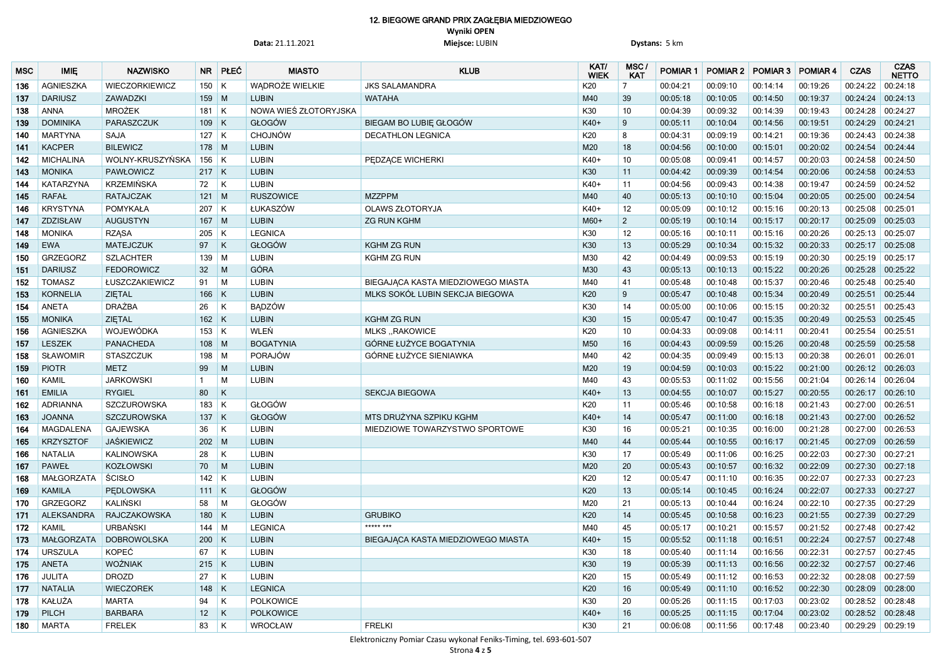## 12. BIEGOWE GRAND PRIX ZAGŁĘBIA MIEDZIOWEGO **Wyniki OPEN Data:** 21.11.2021 **Miejsce:** LUBIN **Dystans:** 5 km

| <b>MSC</b> | <b>IMIE</b>      | <b>NAZWISKO</b>    | NR              | PŁEĆ         | <b>MIASTO</b>          | <b>KLUB</b>                        | KAT/<br><b>WIEK</b> | MSC/<br><b>KAT</b> | <b>POMIAR 1</b> | POMIAR 2   POMIAR 3   POMIAR 4 |          |          | <b>CZAS</b>         | <b>CZAS</b><br><b>NETTO</b> |
|------------|------------------|--------------------|-----------------|--------------|------------------------|------------------------------------|---------------------|--------------------|-----------------|--------------------------------|----------|----------|---------------------|-----------------------------|
| 136        | <b>AGNIESZKA</b> | WIECZORKIEWICZ     | $150$ K         |              | <b>WADROŻE WIELKIE</b> | <b>JKS SALAMANDRA</b>              | K20                 | $\overline{7}$     | 00:04:21        | 00:09:10                       | 00:14:14 | 00:19:26 | 00:24:22            | 00:24:18                    |
| 137        | <b>DARIUSZ</b>   | ZAWADZKI           | $159$ M         |              | <b>LUBIN</b>           | <b>WATAHA</b>                      | M40                 | 39                 | 00:05:18        | 00:10:05                       | 00:14:50 | 00:19:37 | 00:24:24            | 00:24:13                    |
| 138        | <b>ANNA</b>      | <b>MROŻEK</b>      | 181             | K            | NOWA WIEŚ ZŁOTORYJSKA  |                                    | K30                 | 10 <sup>°</sup>    | 00:04:39        | 00:09:32                       | 00:14:39 | 00:19:43 | 00:24:28            | 00:24:27                    |
| 139        | <b>DOMINIKA</b>  | PARASZCZUK         | $109$ K         |              | GŁOGÓW                 | BIEGAM BO LUBIE GŁOGÓW             | K40+                | 9                  | 00:05:11        | 00:10:04                       | 00:14:56 | 00:19:51 | 00:24:29            | 00:24:21                    |
| 140        | <b>MARTYNA</b>   | <b>SAJA</b>        | $127$ K         |              | <b>CHOJNÓW</b>         | <b>DECATHLON LEGNICA</b>           | K20                 | 8                  | 00:04:31        | 00:09:19                       | 00:14:21 | 00:19:36 | 00:24:43            | 00:24:38                    |
| 141        | <b>KACPER</b>    | <b>BILEWICZ</b>    | $178$ M         |              | <b>LUBIN</b>           |                                    | M20                 | 18                 | 00:04:56        | 00:10:00                       | 00:15:01 | 00:20:02 | 00:24:54            | 00:24:44                    |
| 142        | <b>MICHALINA</b> | WOLNY-KRUSZYŃSKA   | $156$ K         |              | <b>LUBIN</b>           | PEDZĄCE WICHERKI                   | K40+                | 10 <sup>°</sup>    | 00:05:08        | 00:09:41                       | 00:14:57 | 00:20:03 | 00:24:58   00:24:50 |                             |
| 143        | <b>MONIKA</b>    | <b>PAWŁOWICZ</b>   | $217$ K         |              | <b>LUBIN</b>           |                                    | K30                 | 11                 | 00:04:42        | 00:09:39                       | 00:14:54 | 00:20:06 | 00:24:58            | 00:24:53                    |
| 144        | <b>KATARZYNA</b> | <b>KRZEMIŃSKA</b>  | 72              | $\mathsf{K}$ | <b>LUBIN</b>           |                                    | K40+                | 11                 | 00:04:56        | 00:09:43                       | 00:14:38 | 00:19:47 | 00:24:59 00:24:52   |                             |
| 145        | <b>RAFAŁ</b>     | <b>RATAJCZAK</b>   | 121             | M            | <b>RUSZOWICE</b>       | <b>MZZPPM</b>                      | M40                 | 40                 | 00:05:13        | 00:10:10                       | 00:15:04 | 00:20:05 | 00:25:00 00:24:54   |                             |
| 146        | <b>KRYSTYNA</b>  | <b>POMYKAŁA</b>    | $207$ K         |              | ŁUKASZÓW               | <b>OLAWS ZŁOTORYJA</b>             | K40+                | 12                 | 00:05:09        | 00:10:12                       | 00:15:16 | 00:20:13 | 00:25:08            | 00:25:01                    |
| 147        | ZDZISŁAW         | <b>AUGUSTYN</b>    | $167$ M         |              | <b>LUBIN</b>           | <b>ZG RUN KGHM</b>                 | $M60+$              | $\overline{2}$     | 00:05:19        | 00:10:14                       | 00:15:17 | 00:20:17 | 00:25:09            | 00:25:03                    |
| 148        | <b>MONIKA</b>    | <b>RZĄSA</b>       | 205             | K            | <b>LEGNICA</b>         |                                    | K30                 | 12                 | 00:05:16        | 00:10:11                       | 00:15:16 | 00:20:26 | 00:25:13            | 00:25:07                    |
| 149        | <b>EWA</b>       | <b>MATEJCZUK</b>   | 97              | $\mathsf{K}$ | GŁOGÓW                 | <b>KGHM ZG RUN</b>                 | K30                 | 13                 | 00:05:29        | 00:10:34                       | 00:15:32 | 00:20:33 | 00:25:17 00:25:08   |                             |
| 150        | <b>GRZEGORZ</b>  | <b>SZLACHTER</b>   | 139             | M            | <b>LUBIN</b>           | <b>KGHM ZG RUN</b>                 | M30                 | 42                 | 00:04:49        | 00:09:53                       | 00:15:19 | 00:20:30 | 00:25:19 00:25:17   |                             |
| 151        | <b>DARIUSZ</b>   | <b>FEDOROWICZ</b>  | 32 <sup>2</sup> | M            | <b>GÓRA</b>            |                                    | M30                 | 43                 | 00:05:13        | 00:10:13                       | 00:15:22 | 00:20:26 | 00:25:28 00:25:22   |                             |
| 152        | <b>TOMASZ</b>    | ŁUSZCZAKIEWICZ     | 91              | M            | <b>LUBIN</b>           | BIEGAJĄCA KASTA MIEDZIOWEGO MIASTA | M40                 | 41                 | 00:05:48        | 00:10:48                       | 00:15:37 | 00:20:46 | 00:25:48 00:25:40   |                             |
| 153        | <b>KORNELIA</b>  | ZIĘTAL             | 166             | K            | <b>LUBIN</b>           | MLKS SOKÓŁ LUBIN SEKCJA BIEGOWA    | K20                 | 9                  | 00:05:47        | 00:10:48                       | 00:15:34 | 00:20:49 | 00:25:51            | 00:25:44                    |
| 154        | <b>ANETA</b>     | <b>DRAŻBA</b>      | 26              | K            | <b>BADZÓW</b>          |                                    | K30                 | 14                 | 00:05:00        | 00:10:06                       | 00:15:15 | 00:20:32 | 00:25:51 00:25:43   |                             |
| 155        | <b>MONIKA</b>    | ZIĘTAL             | $162$ K         |              | <b>LUBIN</b>           | <b>KGHM ZG RUN</b>                 | K30                 | 15                 | 00:05:47        | 00:10:47                       | 00:15:35 | 00:20:49 | 00:25:53            | 00:25:45                    |
| 156        | <b>AGNIESZKA</b> | WOJEWÓDKA          | $153$ K         |              | WLEŃ                   | <b>MLKS, RAKOWICE</b>              | K20                 | 10 <sup>°</sup>    | 00:04:33        | 00:09:08                       | 00:14:11 | 00:20:41 | 00:25:54 00:25:51   |                             |
| 157        | <b>LESZEK</b>    | <b>PANACHEDA</b>   | 108             | $\mid M$     | <b>BOGATYNIA</b>       | GÓRNE ŁUŻYCE BOGATYNIA             | M50                 | 16                 | 00:04:43        | 00:09:59                       | 00:15:26 | 00:20:48 | 00:25:59            | 00:25:58                    |
| 158        | <b>SŁAWOMIR</b>  | <b>STASZCZUK</b>   | 198 M           |              | PORAJÓW                | GÓRNE ŁUŻYCE SIENIAWKA             | M40                 | 42                 | 00:04:35        | 00:09:49                       | 00:15:13 | 00:20:38 | 00:26:01            | 00:26:01                    |
| 159        | <b>PIOTR</b>     | <b>METZ</b>        | 99              | M            | <b>LUBIN</b>           |                                    | M20                 | 19                 | 00:04:59        | 00:10:03                       | 00:15:22 | 00:21:00 | $00:26:12$ 00:26:03 |                             |
| 160        | <b>KAMIL</b>     | <b>JARKOWSKI</b>   | $\overline{1}$  | M            | <b>LUBIN</b>           |                                    | M40                 | 43                 | 00:05:53        | 00:11:02                       | 00:15:56 | 00:21:04 | 00:26:14            | 00:26:04                    |
| 161        | <b>EMILIA</b>    | <b>RYGIEL</b>      | 80              | K            |                        | <b>SEKCJA BIEGOWA</b>              | K40+                | 13                 | 00:04:55        | 00:10:07                       | 00:15:27 | 00:20:55 | 00:26:17 00:26:10   |                             |
| 162        | <b>ADRIANNA</b>  | <b>SZCZUROWSKA</b> | $183$ K         |              | GŁOGÓW                 |                                    | K20                 | 11                 | 00:05:46        | 00:10:58                       | 00:16:18 | 00:21:43 | 00:27:00 00:26:51   |                             |
| 163        | <b>JOANNA</b>    | <b>SZCZUROWSKA</b> | $137$ K         |              | GŁOGÓW                 | MTS DRUŻYNA SZPIKU KGHM            | K40+                | 14                 | 00:05:47        | 00:11:00                       | 00:16:18 | 00:21:43 | 00:27:00 00:26:52   |                             |
| 164        | MAGDALENA        | <b>GAJEWSKA</b>    | 36              | K            | <b>LUBIN</b>           | MIEDZIOWE TOWARZYSTWO SPORTOWE     | K30                 | 16                 | 00:05:21        | 00:10:35                       | 00:16:00 | 00:21:28 | 00:27:00 00:26:53   |                             |
| 165        | <b>KRZYSZTOF</b> | JAŚKIEWICZ         | $202$ M         |              | <b>LUBIN</b>           |                                    | M40                 | 44                 | 00:05:44        | 00:10:55                       | 00:16:17 | 00:21:45 | 00:27:09  00:26:59  |                             |
| 166        | <b>NATALIA</b>   | <b>KALINOWSKA</b>  | 28              | K            | <b>LUBIN</b>           |                                    | K30                 | 17                 | 00:05:49        | 00:11:06                       | 00:16:25 | 00:22:03 | 00:27:30 00:27:21   |                             |
| 167        | <b>PAWEŁ</b>     | <b>KOZŁOWSKI</b>   | 70              | M            | <b>LUBIN</b>           |                                    | M20                 | 20                 | 00:05:43        | 00:10:57                       | 00:16:32 | 00:22:09 | 00:27:30  00:27:18  |                             |
| 168        | MAŁGORZATA       | ŚCISŁO             | $142$ K         |              | <b>LUBIN</b>           |                                    | K20                 | 12                 | 00:05:47        | 00:11:10                       | 00:16:35 | 00:22:07 | 00:27:33 00:27:23   |                             |
| 169        | <b>KAMILA</b>    | <b>PEDLOWSKA</b>   | $111$ K         |              | GŁOGÓW                 |                                    | K20                 | 13                 | 00:05:14        | 00:10:45                       | 00:16:24 | 00:22:07 | 00:27:33 00:27:27   |                             |
| 170        | <b>GRZEGORZ</b>  | KALIŃSKI           | 58              | M            | GŁOGÓW                 |                                    | M20                 | 21                 | 00:05:13        | 00:10:44                       | 00:16:24 | 00:22:10 | 00:27:35 00:27:29   |                             |
| 171        | ALEKSANDRA       | RAJCZAKOWSKA       | $180$ K         |              | <b>LUBIN</b>           | <b>GRUBIKO</b>                     | K20                 | 14                 | 00:05:45        | 00:10:58                       | 00:16:23 | 00:21:55 | 00:27:39 00:27:29   |                             |
| 172        | <b>KAMIL</b>     | URBAŃSKI           | $144$ M         |              | <b>LEGNICA</b>         | ***** ***                          | M40                 | 45                 | 00:05:17        | 00:10:21                       | 00:15:57 | 00:21:52 | 00:27:48 00:27:42   |                             |
| 173        | MAŁGORZATA       | <b>DOBROWOLSKA</b> | $200$ K         |              | <b>LUBIN</b>           | BIEGAJĄCA KASTA MIEDZIOWEGO MIASTA | $K40+$              | 15                 | 00:05:52        | 00:11:18                       | 00:16:51 | 00:22:24 | 00:27:57 00:27:48   |                             |
| 174        | <b>URSZULA</b>   | KOPEĆ              | 67   K          |              | <b>LUBIN</b>           |                                    | K30                 | 18                 | 00:05:40        | 00:11:14                       | 00:16:56 | 00:22:31 | 00:27:57 00:27:45   |                             |
| 175        | ANETA            | WOŹNIAK            | $215$ K         |              | <b>LUBIN</b>           |                                    | K30                 | 19                 | 00:05:39        | 00:11:13                       | 00:16:56 | 00:22:32 | 00:27:57 00:27:46   |                             |
| 176        | <b>JULITA</b>    | <b>DROZD</b>       | 27              | K            | <b>LUBIN</b>           |                                    | K20                 | 15                 | 00:05:49        | 00:11:12                       | 00:16:53 | 00:22:32 | 00:28:08 00:27:59   |                             |
| 177        | <b>NATALIA</b>   | <b>WIECZOREK</b>   | $148$ K         |              | <b>LEGNICA</b>         |                                    | K20                 | 16                 | 00:05:49        | 00:11:10                       | 00:16:52 | 00:22:30 | 00:28:09  00:28:00  |                             |
| 178        | KAŁUŻA           | <b>MARTA</b>       | 94              | K            | <b>POLKOWICE</b>       |                                    | K30                 | 20                 | 00:05:26        | 00:11:15                       | 00:17:03 | 00:23:02 | 00:28:52 00:28:48   |                             |
| 179        | <b>PILCH</b>     | <b>BARBARA</b>     | 12              | K            | <b>POLKOWICE</b>       |                                    | K40+                | 16                 | 00:05:25        | 00:11:15                       | 00:17:04 | 00:23:02 | 00:28:52 00:28:48   |                             |
| 180        | MARTA            | <b>FRELEK</b>      | 83   $K$        |              | WROCŁAW                | <b>FRELKI</b>                      | K30                 | 21                 | 00:06:08        | 00:11:56                       | 00:17:48 | 00:23:40 | 00:29:29 00:29:19   |                             |